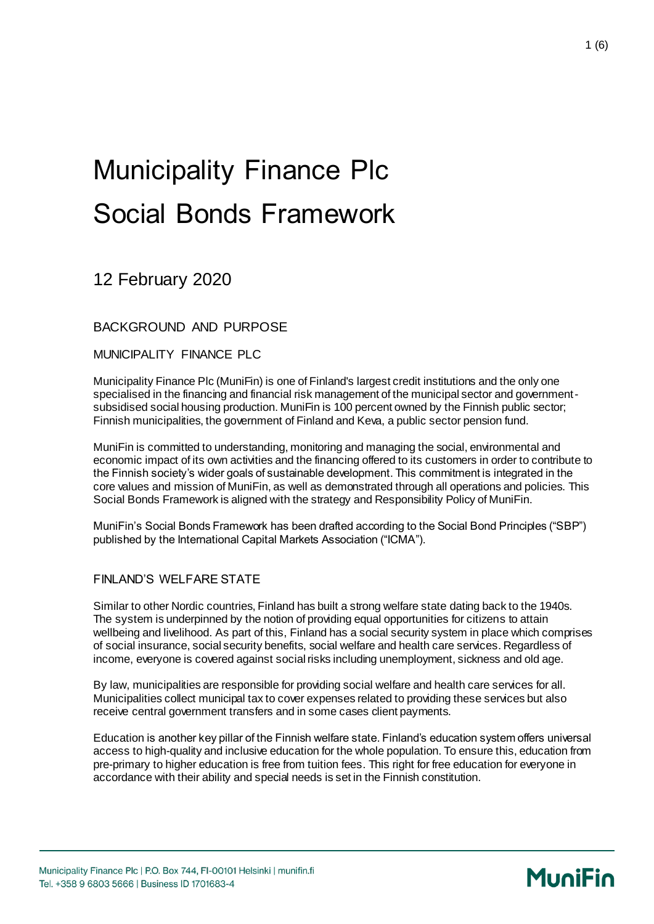# Municipality Finance Plc Social Bonds Framework

12 February 2020

BACKGROUND AND PURPOSE

MUNICIPALITY FINANCE PLC

Municipality Finance Plc (MuniFin) is one of Finland's largest credit institutions and the only one specialised in the financing and financial risk management of the municipal sector and governmentsubsidised social housing production. MuniFin is 100 percent owned by the Finnish public sector; Finnish municipalities, the government of Finland and Keva, a public sector pension fund.

MuniFin is committed to understanding, monitoring and managing the social, environmental and economic impact of its own activities and the financing offered to its customers in order to contribute to the Finnish society's wider goals of sustainable development. This commitment is integrated in the core values and mission of MuniFin, as well as demonstrated through all operations and policies. This Social Bonds Framework is aligned with the strategy and Responsibility Policy of MuniFin.

MuniFin's Social Bonds Framework has been drafted according to the Social Bond Principles ("SBP") published by the International Capital Markets Association ("ICMA").

### FINLAND'S WELFARE STATE

Similar to other Nordic countries, Finland has built a strong welfare state dating back to the 1940s. The system is underpinned by the notion of providing equal opportunities for citizens to attain wellbeing and livelihood. As part of this, Finland has a social security system in place which comprises of social insurance, social security benefits, social welfare and health care services. Regardless of income, everyone is covered against social risks including unemployment, sickness and old age.

By law, municipalities are responsible for providing social welfare and health care services for all. Municipalities collect municipal tax to cover expenses related to providing these services but also receive central government transfers and in some cases client payments.

Education is another key pillar of the Finnish welfare state. Finland's education system offers universal access to high-quality and inclusive education for the whole population. To ensure this, education from pre-primary to higher education is free from tuition fees. This right for free education for everyone in accordance with their ability and special needs is set in the Finnish constitution.

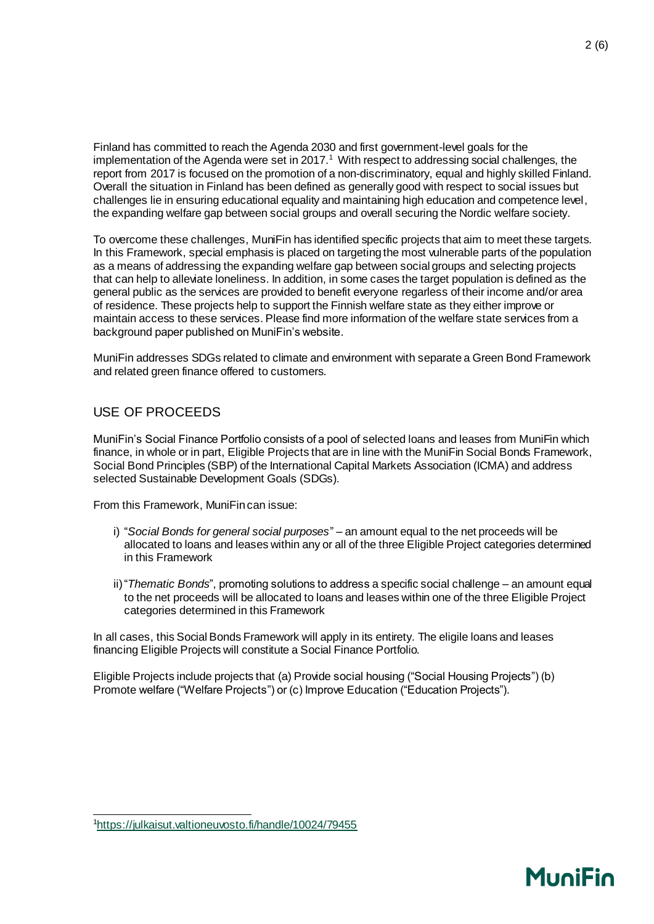Finland has committed to reach the Agenda 2030 and first government-level goals for the implementation of the Agenda were set in 2017.<sup>1</sup> With respect to addressing social challenges, the report from 2017 is focused on the promotion of a non-discriminatory, equal and highly skilled Finland. Overall the situation in Finland has been defined as generally good with respect to social issues but challenges lie in ensuring educational equality and maintaining high education and competence level, the expanding welfare gap between social groups and overall securing the Nordic welfare society.

To overcome these challenges, MuniFin has identified specific projects that aim to meet these targets. In this Framework, special emphasis is placed on targeting the most vulnerable parts of the population as a means of addressing the expanding welfare gap between social groups and selecting projects that can help to alleviate loneliness. In addition, in some cases the target population is defined as the general public as the services are provided to benefit everyone regarless of their income and/or area of residence. These projects help to support the Finnish welfare state as they either improve or maintain access to these services. Please find more information of the welfare state services from a background paper published on MuniFin's website.

MuniFin addresses SDGs related to climate and environment with separate a Green Bond Framework and related green finance offered to customers.

### USE OF PROCEEDS

MuniFin's Social Finance Portfolio consists of a pool of selected loans and leases from MuniFin which finance, in whole or in part, Eligible Projects that are in line with the MuniFin Social Bonds Framework, Social Bond Principles (SBP) of the International Capital Markets Association (ICMA) and address selected Sustainable Development Goals (SDGs).

From this Framework, MuniFin can issue:

- i) "*Social Bonds for general social purposes*" an amount equal to the net proceeds will be allocated to loans and leases within any or all of the three Eligible Project categories determined in this Framework
- ii)"*Thematic Bonds*", promoting solutions to address a specific social challenge an amount equal to the net proceeds will be allocated to loans and leases within one of the three Eligible Project categories determined in this Framework

In all cases, this Social Bonds Framework will apply in its entirety. The eligile loans and leases financing Eligible Projects will constitute a Social Finance Portfolio.

Eligible Projects include projects that (a) Provide social housing ("Social Housing Projects") (b) Promote welfare ("Welfare Projects") or (c) Improve Education ("Education Projects").

## **MuniFin**

l 1<https://julkaisut.valtioneuvosto.fi/handle/10024/79455>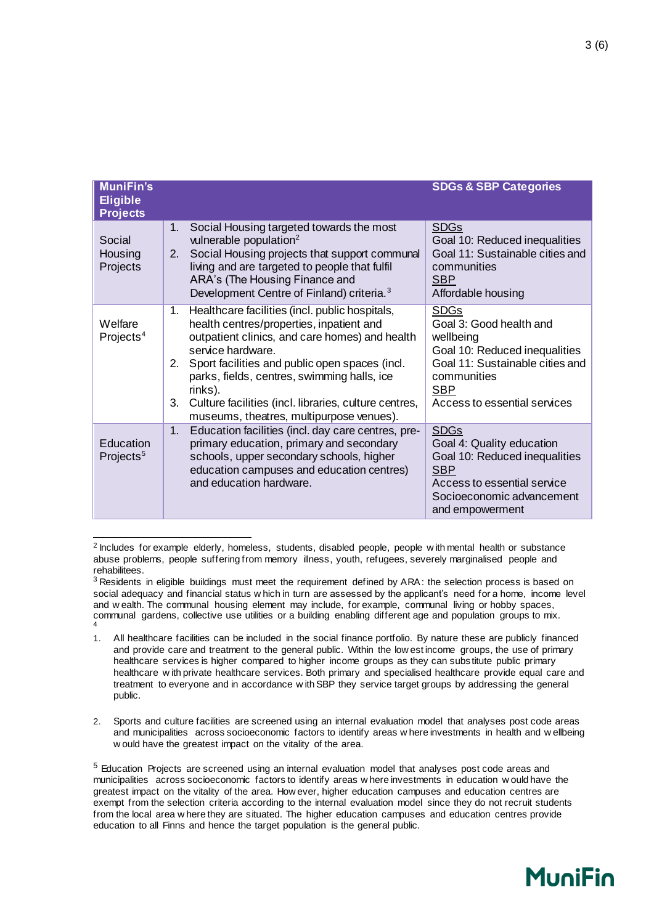| <b>MuniFin's</b><br><b>Eligible</b><br><b>Projects</b> |                                                                                                                                                                                                                                                                                                                                                                                                      | <b>SDGs &amp; SBP Categories</b>                                                                                                                                                     |
|--------------------------------------------------------|------------------------------------------------------------------------------------------------------------------------------------------------------------------------------------------------------------------------------------------------------------------------------------------------------------------------------------------------------------------------------------------------------|--------------------------------------------------------------------------------------------------------------------------------------------------------------------------------------|
| Social<br>Housing<br>Projects                          | Social Housing targeted towards the most<br>1.<br>vulnerable population $2$<br>Social Housing projects that support communal<br>2.<br>living and are targeted to people that fulfil<br>ARA's (The Housing Finance and<br>Development Centre of Finland) criteria. <sup>3</sup>                                                                                                                       | <b>SDGs</b><br>Goal 10: Reduced inequalities<br>Goal 11: Sustainable cities and<br>communities<br><b>SBP</b><br>Affordable housing                                                   |
| Welfare<br>Projects <sup>4</sup>                       | Healthcare facilities (incl. public hospitals,<br>1.<br>health centres/properties, inpatient and<br>outpatient clinics, and care homes) and health<br>service hardware.<br>Sport facilities and public open spaces (incl.<br>2.<br>parks, fields, centres, swimming halls, ice<br>rinks).<br>Culture facilities (incl. libraries, culture centres,<br>3.<br>museums, theatres, multipurpose venues). | <u>SDGs</u><br>Goal 3: Good health and<br>wellbeing<br>Goal 10: Reduced inequalities<br>Goal 11: Sustainable cities and<br>communities<br><u>SBP</u><br>Access to essential services |
| Education<br>Projects <sup>5</sup>                     | Education facilities (incl. day care centres, pre-<br>1.<br>primary education, primary and secondary<br>schools, upper secondary schools, higher<br>education campuses and education centres)<br>and education hardware.                                                                                                                                                                             | <b>SDGs</b><br>Goal 4: Quality education<br>Goal 10: Reduced inequalities<br><b>SBP</b><br>Access to essential service<br>Socioeconomic advancement<br>and empowerment               |

l <sup>2</sup> Includes for example elderly, homeless, students, disabled people, people w ith mental health or substance abuse problems, people suffering from memory illness, youth, refugees, severely marginalised people and rehabilitees.

2. Sports and culture facilities are screened using an internal evaluation model that analyses post code areas and municipalities across socioeconomic factors to identify areas w here investments in health and w ellbeing w ould have the greatest impact on the vitality of the area.

<sup>5</sup> Education Projects are screened using an internal evaluation model that analyses post code areas and municipalities across socioeconomic factors to identify areas w here investments in education w ould have the greatest impact on the vitality of the area. How ever, higher education campuses and education centres are exempt from the selection criteria according to the internal evaluation model since they do not recruit students from the local area w here they are situated. The higher education campuses and education centres provide education to all Finns and hence the target population is the general public.



<sup>&</sup>lt;sup>3</sup> Residents in eligible buildings must meet the requirement defined by ARA: the selection process is based on social adequacy and financial status w hich in turn are assessed by the applicant's need for a home, income level and w ealth. The communal housing element may include, for example, communal living or hobby spaces, communal gardens, collective use utilities or a building enabling different age and population groups to mix. 4

<sup>1.</sup> All healthcare facilities can be included in the social finance portfolio. By nature these are publicly financed and provide care and treatment to the general public. Within the low est income groups, the use of primary healthcare services is higher compared to higher income groups as they can subs titute public primary healthcare w ith private healthcare services. Both primary and specialised healthcare provide equal care and treatment to everyone and in accordance w ith SBP they service target groups by addressing the general public.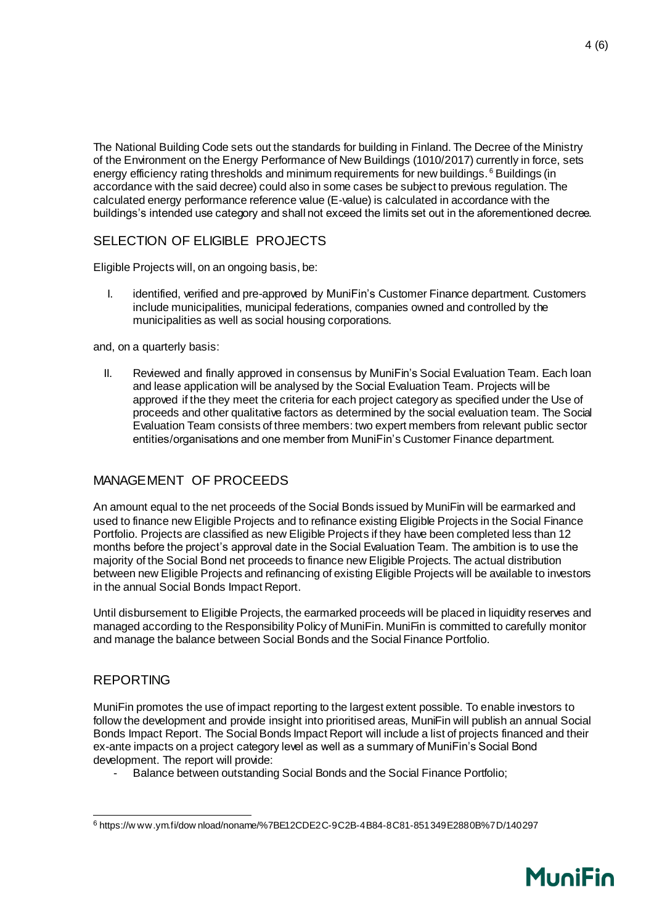The National Building Code sets out the standards for building in Finland. The Decree of the Ministry of the Environment on the Energy Performance of New Buildings (1010/2017) currently in force, sets energy efficiency rating thresholds and minimum requirements for new buildings.<sup>6</sup> Buildings (in accordance with the said decree) could also in some cases be subject to previous regulation. The calculated energy performance reference value (E-value) is calculated in accordance with the buildings's intended use category and shall not exceed the limits set out in the aforementioned decree.

### SELECTION OF ELIGIBLE PROJECTS

Eligible Projects will, on an ongoing basis, be:

I. identified, verified and pre-approved by MuniFin's Customer Finance department. Customers include municipalities, municipal federations, companies owned and controlled by the municipalities as well as social housing corporations.

and, on a quarterly basis:

II. Reviewed and finally approved in consensus by MuniFin's Social Evaluation Team. Each loan and lease application will be analysed by the Social Evaluation Team. Projects will be approved if the they meet the criteria for each project category as specified under the Use of proceeds and other qualitative factors as determined by the social evaluation team. The Social Evaluation Team consists of three members: two expert members from relevant public sector entities/organisations and one member from MuniFin's Customer Finance department.

### MANAGEMENT OF PROCEEDS

An amount equal to the net proceeds of the Social Bonds issued by MuniFin will be earmarked and used to finance new Eligible Projects and to refinance existing Eligible Projects in the Social Finance Portfolio. Projects are classified as new Eligible Projects if they have been completed less than 12 months before the project's approval date in the Social Evaluation Team. The ambition is to use the majority of the Social Bond net proceeds to finance new Eligible Projects. The actual distribution between new Eligible Projects and refinancing of existing Eligible Projects will be available to investors in the annual Social Bonds Impact Report.

Until disbursement to Eligible Projects, the earmarked proceeds will be placed in liquidity reserves and managed according to the Responsibility Policy of MuniFin. MuniFin is committed to carefully monitor and manage the balance between Social Bonds and the Social Finance Portfolio.

### REPORTING

MuniFin promotes the use of impact reporting to the largest extent possible. To enable investors to follow the development and provide insight into prioritised areas, MuniFin will publish an annual Social Bonds Impact Report. The Social Bonds Impact Report will include a list of projects financed and their ex-ante impacts on a project category level as well as a summary of MuniFin's Social Bond development. The report will provide:

- Balance between outstanding Social Bonds and the Social Finance Portfolio;



l <sup>6</sup> https://w ww.ym.fi/dow nload/noname/%7BE12CDE2C-9C2B-4B84-8C81-851349E2880B%7D/140297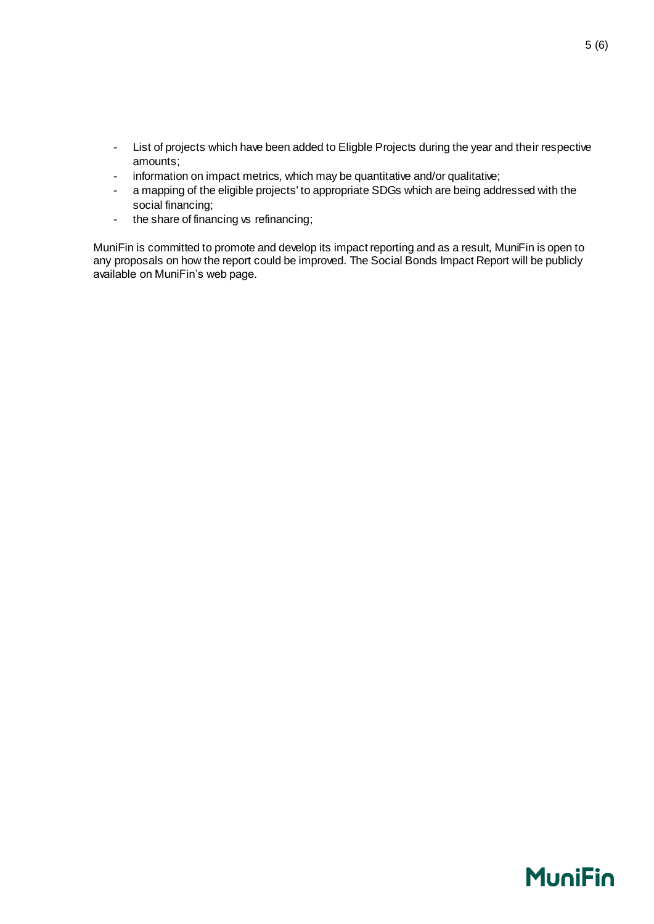- List of projects which have been added to Eligble Projects during the year and their respective amounts;
- information on impact metrics, which may be quantitative and/or qualitative;
- a mapping of the eligible projects' to appropriate SDGs which are being addressed with the social financing;
- the share of financing vs refinancing;

MuniFin is committed to promote and develop its impact reporting and as a result, MuniFin is open to any proposals on how the report could be improved. The Social Bonds Impact Report will be publicly available on MuniFin's web page.

5 (6)